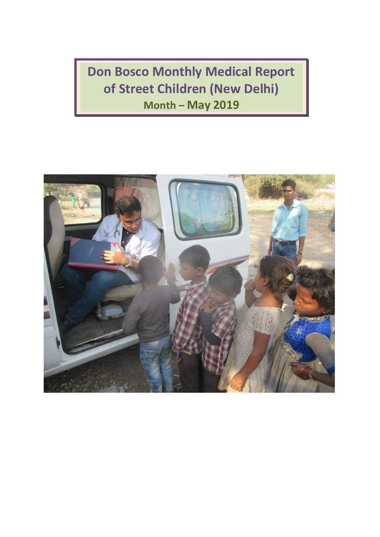**Don Bosco Monthly Medical Report of Street Children (New Delhi) Month – May 2019**

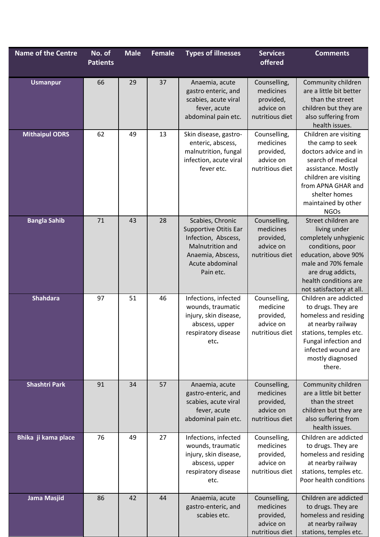| <b>Name of the Centre</b> | No. of<br><b>Patients</b> | <b>Male</b> | <b>Female</b> | <b>Types of illnesses</b>                                                                                                                 | <b>Services</b><br>offered                                             | <b>Comments</b>                                                                                                                                                                                                     |
|---------------------------|---------------------------|-------------|---------------|-------------------------------------------------------------------------------------------------------------------------------------------|------------------------------------------------------------------------|---------------------------------------------------------------------------------------------------------------------------------------------------------------------------------------------------------------------|
| <b>Usmanpur</b>           | 66                        | 29          | 37            | Anaemia, acute<br>gastro enteric, and<br>scabies, acute viral<br>fever, acute<br>abdominal pain etc.                                      | Counselling,<br>medicines<br>provided,<br>advice on<br>nutritious diet | Community children<br>are a little bit better<br>than the street<br>children but they are<br>also suffering from<br>health issues.                                                                                  |
| <b>Mithaipul ODRS</b>     | 62                        | 49          | 13            | Skin disease, gastro-<br>enteric, abscess,<br>malnutrition, fungal<br>infection, acute viral<br>fever etc.                                | Counselling,<br>medicines<br>provided,<br>advice on<br>nutritious diet | Children are visiting<br>the camp to seek<br>doctors advice and in<br>search of medical<br>assistance. Mostly<br>children are visiting<br>from APNA GHAR and<br>shelter homes<br>maintained by other<br><b>NGOs</b> |
| <b>Bangla Sahib</b>       | 71                        | 43          | 28            | Scabies, Chronic<br>Supportive Otitis Ear<br>Infection, Abscess,<br>Malnutrition and<br>Anaemia, Abscess,<br>Acute abdominal<br>Pain etc. | Counselling,<br>medicines<br>provided,<br>advice on<br>nutritious diet | Street children are<br>living under<br>completely unhygienic<br>conditions, poor<br>education, above 90%<br>male and 70% female<br>are drug addicts,<br>health conditions are<br>not satisfactory at all.           |
| <b>Shahdara</b>           | 97                        | 51          | 46            | Infections, infected<br>wounds, traumatic<br>injury, skin disease,<br>abscess, upper<br>respiratory disease<br>etc.                       | Counselling,<br>medicine<br>provided,<br>advice on<br>nutritious diet  | Children are addicted<br>to drugs. They are<br>homeless and residing<br>at nearby railway<br>stations, temples etc.<br>Fungal infection and<br>infected wound are<br>mostly diagnosed<br>there.                     |
| <b>Shashtri Park</b>      | 91                        | 34          | 57            | Anaemia, acute<br>gastro-enteric, and<br>scabies, acute viral<br>fever, acute<br>abdominal pain etc.                                      | Counselling,<br>medicines<br>provided,<br>advice on<br>nutritious diet | Community children<br>are a little bit better<br>than the street<br>children but they are<br>also suffering from<br>health issues.                                                                                  |
| Bhika ji kama place       | 76                        | 49          | 27            | Infections, infected<br>wounds, traumatic<br>injury, skin disease,<br>abscess, upper<br>respiratory disease<br>etc.                       | Counselling,<br>medicines<br>provided,<br>advice on<br>nutritious diet | Children are addicted<br>to drugs. They are<br>homeless and residing<br>at nearby railway<br>stations, temples etc.<br>Poor health conditions                                                                       |
| <b>Jama Masjid</b>        | 86                        | 42          | 44            | Anaemia, acute<br>gastro-enteric, and<br>scabies etc.                                                                                     | Counselling,<br>medicines<br>provided,<br>advice on<br>nutritious diet | Children are addicted<br>to drugs. They are<br>homeless and residing<br>at nearby railway<br>stations, temples etc.                                                                                                 |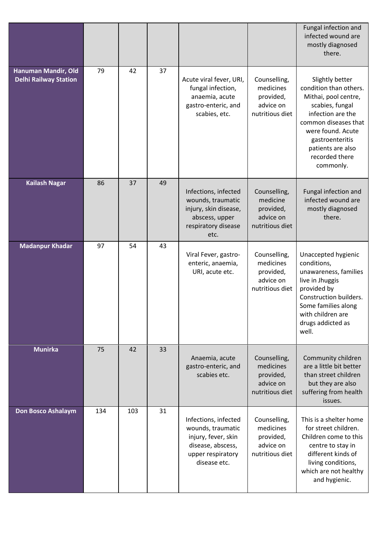|                                                     |     |     |    |                                                                                                                            |                                                                        | Fungal infection and<br>infected wound are<br>mostly diagnosed<br>there.                                                                                                                                                      |
|-----------------------------------------------------|-----|-----|----|----------------------------------------------------------------------------------------------------------------------------|------------------------------------------------------------------------|-------------------------------------------------------------------------------------------------------------------------------------------------------------------------------------------------------------------------------|
| Hanuman Mandir, Old<br><b>Delhi Railway Station</b> | 79  | 42  | 37 | Acute viral fever, URI,<br>fungal infection,<br>anaemia, acute<br>gastro-enteric, and<br>scabies, etc.                     | Counselling,<br>medicines<br>provided,<br>advice on<br>nutritious diet | Slightly better<br>condition than others.<br>Mithai, pool centre,<br>scabies, fungal<br>infection are the<br>common diseases that<br>were found. Acute<br>gastroenteritis<br>patients are also<br>recorded there<br>commonly. |
| <b>Kailash Nagar</b>                                | 86  | 37  | 49 | Infections, infected<br>wounds, traumatic<br>injury, skin disease,<br>abscess, upper<br>respiratory disease<br>etc.        | Counselling,<br>medicine<br>provided,<br>advice on<br>nutritious diet  | Fungal infection and<br>infected wound are<br>mostly diagnosed<br>there.                                                                                                                                                      |
| <b>Madanpur Khadar</b>                              | 97  | 54  | 43 | Viral Fever, gastro-<br>enteric, anaemia,<br>URI, acute etc.                                                               | Counselling,<br>medicines<br>provided,<br>advice on<br>nutritious diet | Unaccepted hygienic<br>conditions,<br>unawareness, families<br>live in Jhuggis<br>provided by<br>Construction builders.<br>Some families along<br>with children are<br>drugs addicted as<br>well.                             |
| <b>Munirka</b>                                      | 75  | 42  | 33 | Anaemia, acute<br>gastro-enteric, and<br>scabies etc.                                                                      | Counselling,<br>medicines<br>provided,<br>advice on<br>nutritious diet | Community children<br>are a little bit better<br>than street children<br>but they are also<br>suffering from health<br>issues.                                                                                                |
| <b>Don Bosco Ashalaym</b>                           | 134 | 103 | 31 | Infections, infected<br>wounds, traumatic<br>injury, fever, skin<br>disease, abscess,<br>upper respiratory<br>disease etc. | Counselling,<br>medicines<br>provided,<br>advice on<br>nutritious diet | This is a shelter home<br>for street children.<br>Children come to this<br>centre to stay in<br>different kinds of<br>living conditions,<br>which are not healthy<br>and hygienic.                                            |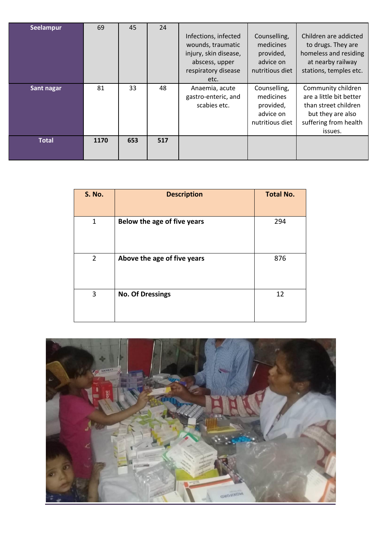| <b>Seelampur</b> | 69   | 45  | 24  | Infections, infected<br>wounds, traumatic<br>injury, skin disease,<br>abscess, upper<br>respiratory disease<br>etc. | Counselling,<br>medicines<br>provided,<br>advice on<br>nutritious diet | Children are addicted<br>to drugs. They are<br>homeless and residing<br>at nearby railway<br>stations, temples etc.            |
|------------------|------|-----|-----|---------------------------------------------------------------------------------------------------------------------|------------------------------------------------------------------------|--------------------------------------------------------------------------------------------------------------------------------|
| Sant nagar       | 81   | 33  | 48  | Anaemia, acute<br>gastro-enteric, and<br>scabies etc.                                                               | Counselling,<br>medicines<br>provided,<br>advice on<br>nutritious diet | Community children<br>are a little bit better<br>than street children<br>but they are also<br>suffering from health<br>issues. |
| <b>Total</b>     | 1170 | 653 | 517 |                                                                                                                     |                                                                        |                                                                                                                                |

| <b>S. No.</b>  | <b>Description</b>          | <b>Total No.</b> |
|----------------|-----------------------------|------------------|
| 1              | Below the age of five years | 294              |
| $\overline{2}$ | Above the age of five years | 876              |
| 3              | <b>No. Of Dressings</b>     | 12               |

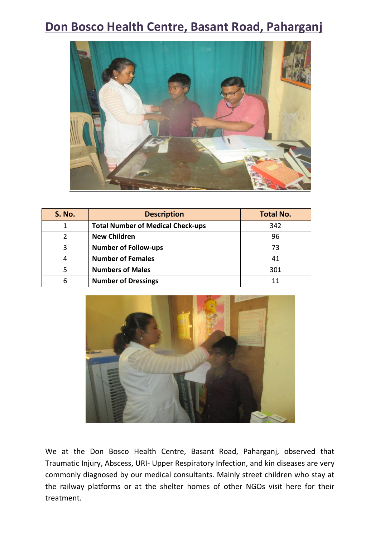## **Don Bosco Health Centre, Basant Road, Paharganj**



| <b>S. No.</b> | <b>Description</b>                       | <b>Total No.</b> |
|---------------|------------------------------------------|------------------|
| 1             | <b>Total Number of Medical Check-ups</b> | 342              |
| 2             | <b>New Children</b>                      | 96               |
| 3             | <b>Number of Follow-ups</b>              | 73               |
| 4             | <b>Number of Females</b>                 | 41               |
| 5             | <b>Numbers of Males</b>                  | 301              |
| 6             | <b>Number of Dressings</b>               | 11               |



We at the Don Bosco Health Centre, Basant Road, Paharganj, observed that Traumatic Injury, Abscess, URI- Upper Respiratory Infection, and kin diseases are very commonly diagnosed by our medical consultants. Mainly street children who stay at the railway platforms or at the shelter homes of other NGOs visit here for their treatment.